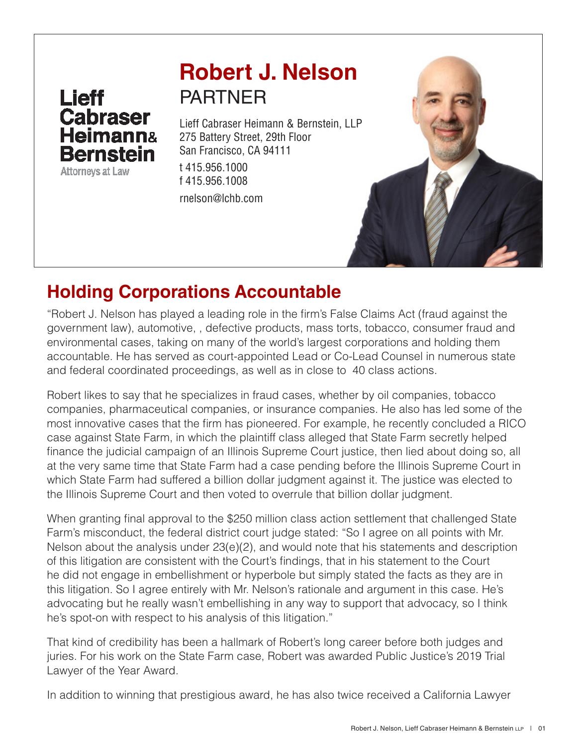# Lieff<br>Cabraser **Heimann& Bernstein**

**Attorneys at Law** 

## **Robert J. Nelson** PARTNER

Lieff Cabraser Heimann & Bernstein, LLP 275 Battery Street, 29th Floor San Francisco, CA 94111 t 415.956.1000 f 415.956.1008

rnelson@lchb.com



### **Holding Corporations Accountable**

"Robert J. Nelson has played a leading role in the firm's False Claims Act (fraud against the government law), automotive, , defective products, mass torts, tobacco, consumer fraud and environmental cases, taking on many of the world's largest corporations and holding them accountable. He has served as court-appointed Lead or Co-Lead Counsel in numerous state and federal coordinated proceedings, as well as in close to 40 class actions.

Robert likes to say that he specializes in fraud cases, whether by oil companies, tobacco companies, pharmaceutical companies, or insurance companies. He also has led some of the most innovative cases that the firm has pioneered. For example, he recently concluded a RICO case against State Farm, in which the plaintiff class alleged that State Farm secretly helped finance the judicial campaign of an Illinois Supreme Court justice, then lied about doing so, all at the very same time that State Farm had a case pending before the Illinois Supreme Court in which State Farm had suffered a billion dollar judgment against it. The justice was elected to the Illinois Supreme Court and then voted to overrule that billion dollar judgment.

When granting final approval to the \$250 million class action settlement that challenged State Farm's misconduct, the federal district court judge stated: "So I agree on all points with Mr. Nelson about the analysis under 23(e)(2), and would note that his statements and description of this litigation are consistent with the Court's findings, that in his statement to the Court he did not engage in embellishment or hyperbole but simply stated the facts as they are in this litigation. So I agree entirely with Mr. Nelson's rationale and argument in this case. He's advocating but he really wasn't embellishing in any way to support that advocacy, so I think he's spot-on with respect to his analysis of this litigation."

That kind of credibility has been a hallmark of Robert's long career before both judges and juries. For his work on the State Farm case, Robert was awarded Public Justice's 2019 Trial Lawyer of the Year Award.

In addition to winning that prestigious award, he has also twice received a California Lawyer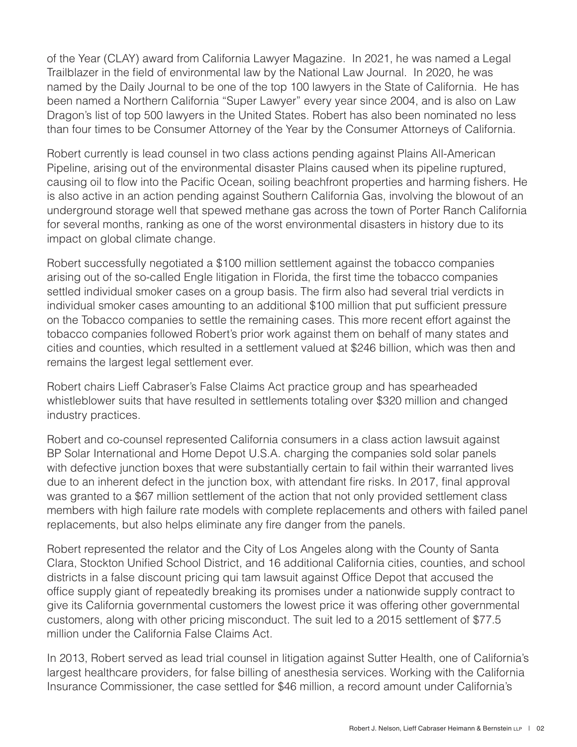of the Year (CLAY) award from California Lawyer Magazine. In 2021, he was named a Legal Trailblazer in the field of environmental law by the National Law Journal. In 2020, he was named by the Daily Journal to be one of the top 100 lawyers in the State of California. He has been named a Northern California "Super Lawyer" every year since 2004, and is also on Law Dragon's list of top 500 lawyers in the United States. Robert has also been nominated no less than four times to be Consumer Attorney of the Year by the Consumer Attorneys of California.

Robert currently is lead counsel in two class actions pending against Plains All-American Pipeline, arising out of the environmental disaster Plains caused when its pipeline ruptured, causing oil to flow into the Pacific Ocean, soiling beachfront properties and harming fishers. He is also active in an action pending against Southern California Gas, involving the blowout of an underground storage well that spewed methane gas across the town of Porter Ranch California for several months, ranking as one of the worst environmental disasters in history due to its impact on global climate change.

Robert successfully negotiated a \$100 million settlement against the tobacco companies arising out of the so-called Engle litigation in Florida, the first time the tobacco companies settled individual smoker cases on a group basis. The firm also had several trial verdicts in individual smoker cases amounting to an additional \$100 million that put sufficient pressure on the Tobacco companies to settle the remaining cases. This more recent effort against the tobacco companies followed Robert's prior work against them on behalf of many states and cities and counties, which resulted in a settlement valued at \$246 billion, which was then and remains the largest legal settlement ever.

Robert chairs Lieff Cabraser's False Claims Act practice group and has spearheaded whistleblower suits that have resulted in settlements totaling over \$320 million and changed industry practices.

Robert and co-counsel represented California consumers in a class action lawsuit against BP Solar International and Home Depot U.S.A. charging the companies sold solar panels with defective junction boxes that were substantially certain to fail within their warranted lives due to an inherent defect in the junction box, with attendant fire risks. In 2017, final approval was granted to a \$67 million settlement of the action that not only provided settlement class members with high failure rate models with complete replacements and others with failed panel replacements, but also helps eliminate any fire danger from the panels.

Robert represented the relator and the City of Los Angeles along with the County of Santa Clara, Stockton Unified School District, and 16 additional California cities, counties, and school districts in a false discount pricing qui tam lawsuit against Office Depot that accused the office supply giant of repeatedly breaking its promises under a nationwide supply contract to give its California governmental customers the lowest price it was offering other governmental customers, along with other pricing misconduct. The suit led to a 2015 settlement of \$77.5 million under the California False Claims Act.

In 2013, Robert served as lead trial counsel in litigation against Sutter Health, one of California's largest healthcare providers, for false billing of anesthesia services. Working with the California Insurance Commissioner, the case settled for \$46 million, a record amount under California's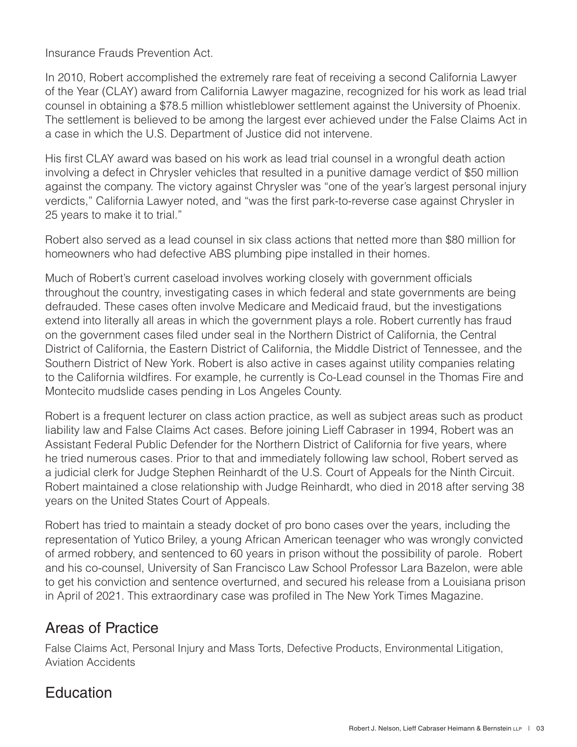Insurance Frauds Prevention Act.

In 2010, Robert accomplished the extremely rare feat of receiving a second California Lawyer of the Year (CLAY) award from California Lawyer magazine, recognized for his work as lead trial counsel in obtaining a \$78.5 million whistleblower settlement against the University of Phoenix. The settlement is believed to be among the largest ever achieved under the False Claims Act in a case in which the U.S. Department of Justice did not intervene.

His first CLAY award was based on his work as lead trial counsel in a wrongful death action involving a defect in Chrysler vehicles that resulted in a punitive damage verdict of \$50 million against the company. The victory against Chrysler was "one of the year's largest personal injury verdicts," California Lawyer noted, and "was the first park-to-reverse case against Chrysler in 25 years to make it to trial."

Robert also served as a lead counsel in six class actions that netted more than \$80 million for homeowners who had defective ABS plumbing pipe installed in their homes.

Much of Robert's current caseload involves working closely with government officials throughout the country, investigating cases in which federal and state governments are being defrauded. These cases often involve Medicare and Medicaid fraud, but the investigations extend into literally all areas in which the government plays a role. Robert currently has fraud on the government cases filed under seal in the Northern District of California, the Central District of California, the Eastern District of California, the Middle District of Tennessee, and the Southern District of New York. Robert is also active in cases against utility companies relating to the California wildfires. For example, he currently is Co-Lead counsel in the Thomas Fire and Montecito mudslide cases pending in Los Angeles County.

Robert is a frequent lecturer on class action practice, as well as subject areas such as product liability law and False Claims Act cases. Before joining Lieff Cabraser in 1994, Robert was an Assistant Federal Public Defender for the Northern District of California for five years, where he tried numerous cases. Prior to that and immediately following law school, Robert served as a judicial clerk for Judge Stephen Reinhardt of the U.S. Court of Appeals for the Ninth Circuit. Robert maintained a close relationship with Judge Reinhardt, who died in 2018 after serving 38 years on the United States Court of Appeals.

Robert has tried to maintain a steady docket of pro bono cases over the years, including the representation of Yutico Briley, a young African American teenager who was wrongly convicted of armed robbery, and sentenced to 60 years in prison without the possibility of parole. Robert and his co-counsel, University of San Francisco Law School Professor Lara Bazelon, were able to get his conviction and sentence overturned, and secured his release from a Louisiana prison in April of 2021. This extraordinary case was profiled in The New York Times Magazine.

#### Areas of Practice

False Claims Act, Personal Injury and Mass Torts, Defective Products, Environmental Litigation, Aviation Accidents

#### **Education**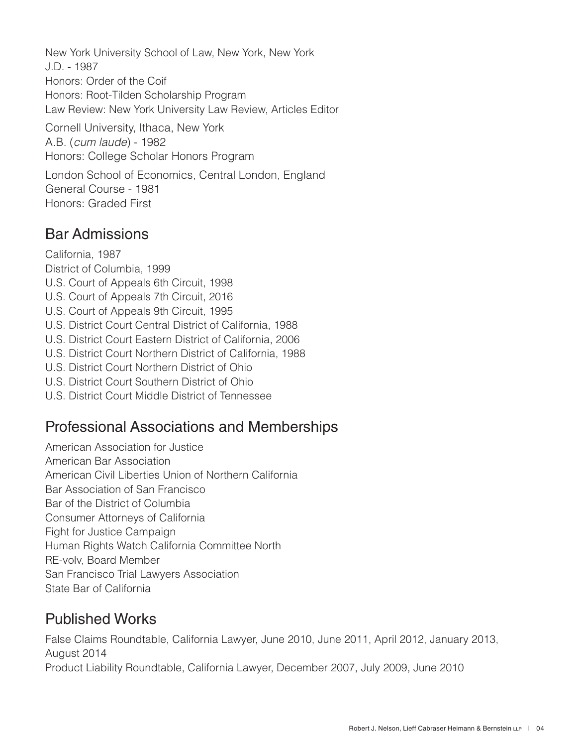New York University School of Law, New York, New York J.D. - 1987 Honors: Order of the Coif Honors: Root-Tilden Scholarship Program Law Review: New York University Law Review, Articles Editor Cornell University, Ithaca, New York A.B. (*cum laude*) - 1982 Honors: College Scholar Honors Program

London School of Economics, Central London, England General Course - 1981 Honors: Graded First

#### Bar Admissions

California, 1987 District of Columbia, 1999 U.S. Court of Appeals 6th Circuit, 1998 U.S. Court of Appeals 7th Circuit, 2016 U.S. Court of Appeals 9th Circuit, 1995 U.S. District Court Central District of California, 1988 U.S. District Court Eastern District of California, 2006 U.S. District Court Northern District of California, 1988 U.S. District Court Northern District of Ohio U.S. District Court Southern District of Ohio U.S. District Court Middle District of Tennessee

#### Professional Associations and Memberships

American Association for Justice

American Bar Association

American Civil Liberties Union of Northern California

Bar Association of San Francisco

Bar of the District of Columbia

Consumer Attorneys of California

Fight for Justice Campaign

Human Rights Watch California Committee North

RE-volv, Board Member

San Francisco Trial Lawyers Association

State Bar of California

#### Published Works

False Claims Roundtable, California Lawyer, June 2010, June 2011, April 2012, January 2013, August 2014 Product Liability Roundtable, California Lawyer, December 2007, July 2009, June 2010